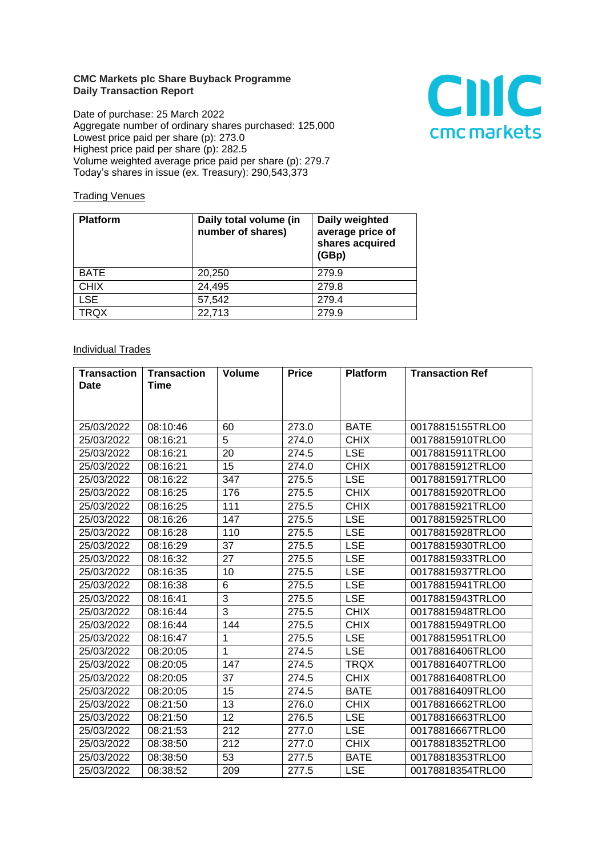## **CMC Markets plc Share Buyback Programme Daily Transaction Report**

Date of purchase: 25 March 2022 Aggregate number of ordinary shares purchased: 125,000 Lowest price paid per share (p): 273.0 Highest price paid per share (p): 282.5 Volume weighted average price paid per share (p): 279.7 Today's shares in issue (ex. Treasury): 290,543,373



## **Trading Venues**

| <b>Platform</b> | Daily total volume (in<br>number of shares) | Daily weighted<br>average price of<br>shares acquired<br>(GBp) |
|-----------------|---------------------------------------------|----------------------------------------------------------------|
| <b>BATE</b>     | 20,250                                      | 279.9                                                          |
| <b>CHIX</b>     | 24,495                                      | 279.8                                                          |
| <b>LSE</b>      | 57,542                                      | 279.4                                                          |
| <b>TRQX</b>     | 22,713                                      | 279.9                                                          |

## **Individual Trades**

| <b>Transaction</b> | <b>Transaction</b> | <b>Volume</b>   | <b>Price</b> | <b>Platform</b> | <b>Transaction Ref</b> |
|--------------------|--------------------|-----------------|--------------|-----------------|------------------------|
| <b>Date</b>        | <b>Time</b>        |                 |              |                 |                        |
|                    |                    |                 |              |                 |                        |
|                    |                    |                 |              |                 |                        |
| 25/03/2022         | 08:10:46           | 60              | 273.0        | <b>BATE</b>     | 00178815155TRLO0       |
| 25/03/2022         | 08:16:21           | 5               | 274.0        | <b>CHIX</b>     | 00178815910TRLO0       |
| 25/03/2022         | 08:16:21           | 20              | 274.5        | <b>LSE</b>      | 00178815911TRLO0       |
| 25/03/2022         | 08:16:21           | 15              | 274.0        | <b>CHIX</b>     | 00178815912TRLO0       |
| 25/03/2022         | 08:16:22           | 347             | 275.5        | <b>LSE</b>      | 00178815917TRLO0       |
| 25/03/2022         | 08:16:25           | 176             | 275.5        | <b>CHIX</b>     | 00178815920TRLO0       |
| 25/03/2022         | 08:16:25           | 111             | 275.5        | <b>CHIX</b>     | 00178815921TRLO0       |
| 25/03/2022         | 08:16:26           | 147             | 275.5        | <b>LSE</b>      | 00178815925TRLO0       |
| 25/03/2022         | 08:16:28           | 110             | 275.5        | <b>LSE</b>      | 00178815928TRLO0       |
| 25/03/2022         | 08:16:29           | 37              | 275.5        | <b>LSE</b>      | 00178815930TRLO0       |
| 25/03/2022         | 08:16:32           | 27              | 275.5        | <b>LSE</b>      | 00178815933TRLO0       |
| 25/03/2022         | 08:16:35           | 10              | 275.5        | <b>LSE</b>      | 00178815937TRLO0       |
| 25/03/2022         | 08:16:38           | 6               | 275.5        | <b>LSE</b>      | 00178815941TRLO0       |
| 25/03/2022         | 08:16:41           | 3               | 275.5        | <b>LSE</b>      | 00178815943TRLO0       |
| 25/03/2022         | 08:16:44           | 3               | 275.5        | <b>CHIX</b>     | 00178815948TRLO0       |
| 25/03/2022         | 08:16:44           | 144             | 275.5        | <b>CHIX</b>     | 00178815949TRLO0       |
| 25/03/2022         | 08:16:47           | $\mathbf{1}$    | 275.5        | <b>LSE</b>      | 00178815951TRLO0       |
| 25/03/2022         | 08:20:05           | $\mathbf{1}$    | 274.5        | <b>LSE</b>      | 00178816406TRLO0       |
| 25/03/2022         | 08:20:05           | 147             | 274.5        | <b>TRQX</b>     | 00178816407TRLO0       |
| 25/03/2022         | 08:20:05           | 37              | 274.5        | <b>CHIX</b>     | 00178816408TRLO0       |
| 25/03/2022         | 08:20:05           | 15              | 274.5        | <b>BATE</b>     | 00178816409TRLO0       |
| 25/03/2022         | 08:21:50           | 13              | 276.0        | <b>CHIX</b>     | 00178816662TRLO0       |
| 25/03/2022         | 08:21:50           | $\overline{12}$ | 276.5        | <b>LSE</b>      | 00178816663TRLO0       |
| 25/03/2022         | 08:21:53           | 212             | 277.0        | <b>LSE</b>      | 00178816667TRLO0       |
| 25/03/2022         | 08:38:50           | 212             | 277.0        | <b>CHIX</b>     | 00178818352TRLO0       |
| 25/03/2022         | 08:38:50           | 53              | 277.5        | <b>BATE</b>     | 00178818353TRLO0       |
| 25/03/2022         | 08:38:52           | 209             | 277.5        | <b>LSE</b>      | 00178818354TRLO0       |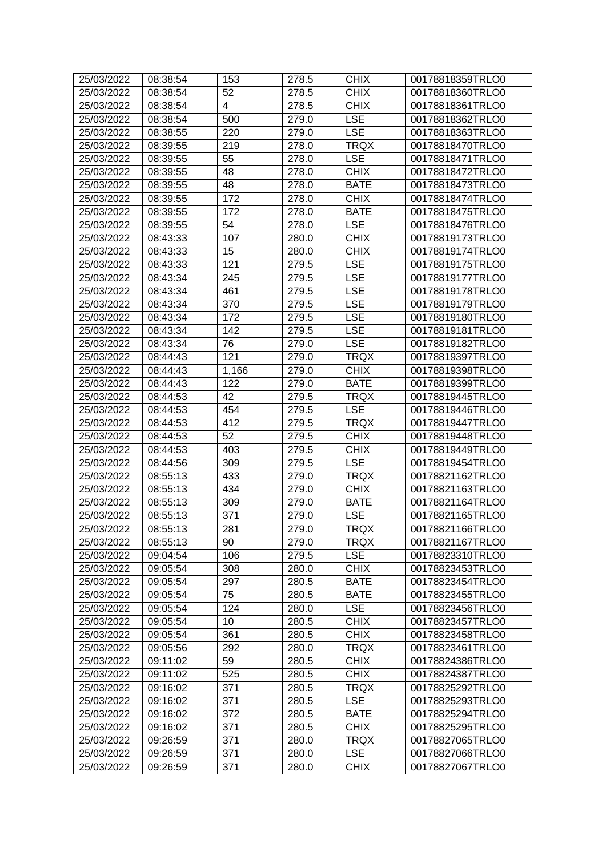| 25/03/2022               | 08:38:54             | 153              | 278.5          | <b>CHIX</b>        | 00178818359TRLO0                     |
|--------------------------|----------------------|------------------|----------------|--------------------|--------------------------------------|
| 25/03/2022               | 08:38:54             | 52               | 278.5          | <b>CHIX</b>        | 00178818360TRLO0                     |
| 25/03/2022               | 08:38:54             | 4                | 278.5          | <b>CHIX</b>        | 00178818361TRLO0                     |
| 25/03/2022               | 08:38:54             | 500              | 279.0          | <b>LSE</b>         | 00178818362TRLO0                     |
| 25/03/2022               | 08:38:55             | 220              | 279.0          | <b>LSE</b>         | 00178818363TRLO0                     |
| 25/03/2022               | 08:39:55             | 219              | 278.0          | <b>TRQX</b>        | 00178818470TRLO0                     |
| 25/03/2022               | 08:39:55             | 55               | 278.0          | <b>LSE</b>         | 00178818471TRLO0                     |
| 25/03/2022               | 08:39:55             | 48               | 278.0          | <b>CHIX</b>        | 00178818472TRLO0                     |
| 25/03/2022               | 08:39:55             | 48               | 278.0          | <b>BATE</b>        | 00178818473TRLO0                     |
| 25/03/2022               | 08:39:55             | 172              | 278.0          | <b>CHIX</b>        | 00178818474TRLO0                     |
| 25/03/2022               | 08:39:55             | 172              | 278.0          | <b>BATE</b>        | 00178818475TRLO0                     |
| 25/03/2022               | 08:39:55             | 54               | 278.0          | <b>LSE</b>         | 00178818476TRLO0                     |
| 25/03/2022               | 08:43:33             | 107              | 280.0          | <b>CHIX</b>        | 00178819173TRLO0                     |
| 25/03/2022               | 08:43:33             | 15               | 280.0          | <b>CHIX</b>        | 00178819174TRLO0                     |
| 25/03/2022               | 08:43:33             | 121              | 279.5          | <b>LSE</b>         | 00178819175TRLO0                     |
| 25/03/2022               | 08:43:34             | 245              | 279.5          | <b>LSE</b>         | 00178819177TRLO0                     |
| 25/03/2022               | 08:43:34             | 461              | 279.5          | <b>LSE</b>         | 00178819178TRLO0                     |
| 25/03/2022               | 08:43:34             | 370              | 279.5          | <b>LSE</b>         | 00178819179TRLO0                     |
| 25/03/2022               | 08:43:34             | 172              | 279.5          | <b>LSE</b>         | 00178819180TRLO0                     |
| 25/03/2022               | 08:43:34             | 142              | 279.5          | <b>LSE</b>         | 00178819181TRLO0                     |
| 25/03/2022               | 08:43:34             | 76               | 279.0          | <b>LSE</b>         | 00178819182TRLO0                     |
| 25/03/2022               | 08:44:43             | 121              | 279.0          | <b>TRQX</b>        | 00178819397TRLO0                     |
| 25/03/2022               | 08:44:43             | 1,166            | 279.0          | <b>CHIX</b>        | 00178819398TRLO0                     |
| 25/03/2022               | 08:44:43             | 122              | 279.0          | <b>BATE</b>        | 00178819399TRLO0                     |
| 25/03/2022               | 08:44:53             | 42               | 279.5          | <b>TRQX</b>        | 00178819445TRLO0                     |
| 25/03/2022               | 08:44:53             | 454              | 279.5          | <b>LSE</b>         | 00178819446TRLO0                     |
| 25/03/2022               | 08:44:53             | 412              | 279.5          | <b>TRQX</b>        | 00178819447TRLO0                     |
| 25/03/2022               | 08:44:53             | 52               | 279.5          | <b>CHIX</b>        | 00178819448TRLO0                     |
| 25/03/2022               | 08:44:53             | 403              | 279.5          | <b>CHIX</b>        | 00178819449TRLO0                     |
| 25/03/2022               | 08:44:56             | 309              | 279.5          | <b>LSE</b>         | 00178819454TRLO0                     |
| 25/03/2022               | 08:55:13             | 433              | 279.0          | <b>TRQX</b>        | 00178821162TRLO0                     |
| 25/03/2022               | 08:55:13             | 434              | 279.0          | <b>CHIX</b>        | 00178821163TRLO0                     |
| 25/03/2022               | 08:55:13             | 309              | 279.0          | <b>BATE</b>        | 00178821164TRLO0                     |
| 25/03/2022               | 08:55:13             | $\overline{371}$ | 279.0          | <b>LSE</b>         | 00178821165TRLO0                     |
| 25/03/2022               | 08:55:13             | 281              | 279.0          | <b>TRQX</b>        | 00178821166TRLO0                     |
| 25/03/2022               | 08:55:13             | 90               | 279.0          | <b>TRQX</b>        | 00178821167TRLO0                     |
| 25/03/2022               | 09:04:54             | 106              | 279.5          | <b>LSE</b>         | 00178823310TRLO0                     |
| 25/03/2022               | 09:05:54             | 308              | 280.0          | <b>CHIX</b>        | 00178823453TRLO0                     |
| 25/03/2022               | 09:05:54             | 297              | 280.5          | <b>BATE</b>        | 00178823454TRLO0                     |
| 25/03/2022               | 09:05:54             | 75               | 280.5          | <b>BATE</b>        | 00178823455TRLO0                     |
| 25/03/2022               | 09:05:54             | 124              | 280.0          | <b>LSE</b>         | 00178823456TRLO0                     |
| 25/03/2022               | 09:05:54             | 10               | 280.5          | <b>CHIX</b>        | 00178823457TRLO0                     |
| 25/03/2022               | 09:05:54             | 361              | 280.5          | <b>CHIX</b>        | 00178823458TRLO0                     |
| 25/03/2022               | 09:05:56             | 292              | 280.0          | <b>TRQX</b>        | 00178823461TRLO0                     |
| 25/03/2022               | 09:11:02             | 59               | 280.5          | <b>CHIX</b>        | 00178824386TRLO0                     |
|                          | 09:11:02             | 525              | 280.5          | <b>CHIX</b>        | 00178824387TRLO0                     |
| 25/03/2022<br>25/03/2022 | 09:16:02             | 371              | 280.5          | <b>TRQX</b>        | 00178825292TRLO0                     |
|                          |                      |                  |                |                    |                                      |
| 25/03/2022<br>25/03/2022 | 09:16:02<br>09:16:02 | 371<br>372       | 280.5<br>280.5 | LSE<br><b>BATE</b> | 00178825293TRLO0<br>00178825294TRLO0 |
| 25/03/2022               | 09:16:02             | 371              | 280.5          | <b>CHIX</b>        | 00178825295TRLO0                     |
| 25/03/2022               | 09:26:59             | 371              | 280.0          | <b>TRQX</b>        | 00178827065TRLO0                     |
| 25/03/2022               | 09:26:59             | 371              | 280.0          | <b>LSE</b>         | 00178827066TRLO0                     |
|                          |                      |                  |                |                    |                                      |
| 25/03/2022               | 09:26:59             | 371              | 280.0          | <b>CHIX</b>        | 00178827067TRLO0                     |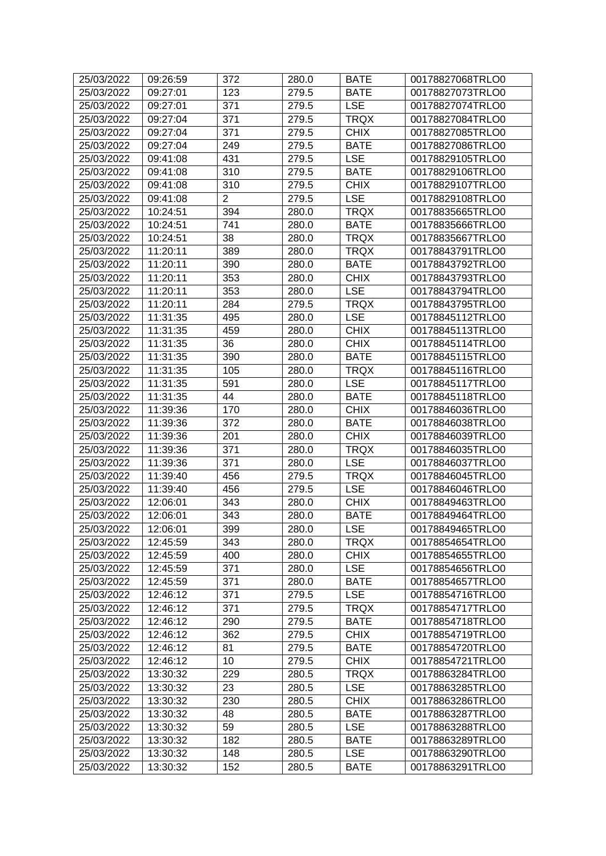| 25/03/2022 | 09:26:59 | 372            | 280.0 | <b>BATE</b> | 00178827068TRLO0 |
|------------|----------|----------------|-------|-------------|------------------|
| 25/03/2022 | 09:27:01 | 123            | 279.5 | <b>BATE</b> | 00178827073TRLO0 |
| 25/03/2022 | 09:27:01 | 371            | 279.5 | <b>LSE</b>  | 00178827074TRLO0 |
| 25/03/2022 | 09:27:04 | 371            | 279.5 | <b>TRQX</b> | 00178827084TRLO0 |
| 25/03/2022 | 09:27:04 | 371            | 279.5 | <b>CHIX</b> | 00178827085TRLO0 |
| 25/03/2022 | 09:27:04 | 249            | 279.5 | <b>BATE</b> | 00178827086TRLO0 |
| 25/03/2022 | 09:41:08 | 431            | 279.5 | <b>LSE</b>  | 00178829105TRLO0 |
| 25/03/2022 | 09:41:08 | 310            | 279.5 | <b>BATE</b> | 00178829106TRLO0 |
| 25/03/2022 | 09:41:08 | 310            | 279.5 | <b>CHIX</b> | 00178829107TRLO0 |
| 25/03/2022 | 09:41:08 | $\overline{2}$ | 279.5 | <b>LSE</b>  | 00178829108TRLO0 |
| 25/03/2022 | 10:24:51 | 394            | 280.0 | <b>TRQX</b> | 00178835665TRLO0 |
| 25/03/2022 | 10:24:51 | 741            | 280.0 | <b>BATE</b> | 00178835666TRLO0 |
| 25/03/2022 | 10:24:51 | 38             | 280.0 | <b>TRQX</b> | 00178835667TRLO0 |
| 25/03/2022 | 11:20:11 | 389            | 280.0 | <b>TRQX</b> | 00178843791TRLO0 |
| 25/03/2022 | 11:20:11 | 390            | 280.0 | <b>BATE</b> | 00178843792TRLO0 |
| 25/03/2022 | 11:20:11 | 353            | 280.0 | <b>CHIX</b> | 00178843793TRLO0 |
| 25/03/2022 | 11:20:11 | 353            | 280.0 | <b>LSE</b>  | 00178843794TRLO0 |
| 25/03/2022 | 11:20:11 | 284            | 279.5 | <b>TRQX</b> | 00178843795TRLO0 |
| 25/03/2022 | 11:31:35 | 495            | 280.0 | <b>LSE</b>  | 00178845112TRLO0 |
| 25/03/2022 | 11:31:35 | 459            | 280.0 | <b>CHIX</b> | 00178845113TRLO0 |
| 25/03/2022 | 11:31:35 | 36             | 280.0 | <b>CHIX</b> | 00178845114TRLO0 |
| 25/03/2022 | 11:31:35 | 390            | 280.0 | <b>BATE</b> | 00178845115TRLO0 |
| 25/03/2022 | 11:31:35 | 105            | 280.0 | <b>TRQX</b> | 00178845116TRLO0 |
| 25/03/2022 | 11:31:35 | 591            | 280.0 | <b>LSE</b>  | 00178845117TRLO0 |
| 25/03/2022 | 11:31:35 | 44             | 280.0 | <b>BATE</b> | 00178845118TRLO0 |
| 25/03/2022 | 11:39:36 | 170            | 280.0 | <b>CHIX</b> | 00178846036TRLO0 |
| 25/03/2022 | 11:39:36 | 372            | 280.0 | <b>BATE</b> | 00178846038TRLO0 |
| 25/03/2022 | 11:39:36 | 201            | 280.0 | <b>CHIX</b> | 00178846039TRLO0 |
| 25/03/2022 | 11:39:36 | 371            | 280.0 | <b>TRQX</b> | 00178846035TRLO0 |
| 25/03/2022 | 11:39:36 | 371            | 280.0 | <b>LSE</b>  | 00178846037TRLO0 |
| 25/03/2022 | 11:39:40 | 456            | 279.5 | <b>TRQX</b> | 00178846045TRLO0 |
| 25/03/2022 | 11:39:40 | 456            | 279.5 | <b>LSE</b>  | 00178846046TRLO0 |
| 25/03/2022 | 12:06:01 | 343            | 280.0 | <b>CHIX</b> | 00178849463TRLO0 |
| 25/03/2022 | 12:06:01 | 343            | 280.0 | <b>BATE</b> | 00178849464TRLO0 |
| 25/03/2022 | 12:06:01 | 399            | 280.0 | <b>LSE</b>  | 00178849465TRLO0 |
| 25/03/2022 | 12:45:59 | 343            | 280.0 | TRQX        | 00178854654TRLO0 |
| 25/03/2022 | 12:45:59 | 400            | 280.0 | <b>CHIX</b> | 00178854655TRLO0 |
| 25/03/2022 | 12:45:59 | 371            | 280.0 | <b>LSE</b>  | 00178854656TRLO0 |
| 25/03/2022 | 12:45:59 | 371            | 280.0 | <b>BATE</b> | 00178854657TRLO0 |
| 25/03/2022 | 12:46:12 | 371            | 279.5 | <b>LSE</b>  | 00178854716TRLO0 |
| 25/03/2022 | 12:46:12 | 371            | 279.5 | <b>TRQX</b> | 00178854717TRLO0 |
| 25/03/2022 | 12:46:12 | 290            | 279.5 | <b>BATE</b> | 00178854718TRLO0 |
| 25/03/2022 | 12:46:12 | 362            | 279.5 | <b>CHIX</b> | 00178854719TRLO0 |
| 25/03/2022 | 12:46:12 | 81             | 279.5 | <b>BATE</b> | 00178854720TRLO0 |
| 25/03/2022 | 12:46:12 | 10             | 279.5 | <b>CHIX</b> | 00178854721TRLO0 |
| 25/03/2022 | 13:30:32 | 229            | 280.5 | <b>TRQX</b> | 00178863284TRLO0 |
| 25/03/2022 | 13:30:32 | 23             | 280.5 | <b>LSE</b>  | 00178863285TRLO0 |
| 25/03/2022 | 13:30:32 | 230            | 280.5 | <b>CHIX</b> | 00178863286TRLO0 |
| 25/03/2022 | 13:30:32 | 48             | 280.5 | <b>BATE</b> | 00178863287TRLO0 |
| 25/03/2022 | 13:30:32 | 59             | 280.5 | <b>LSE</b>  | 00178863288TRLO0 |
| 25/03/2022 | 13:30:32 | 182            | 280.5 | <b>BATE</b> | 00178863289TRLO0 |
| 25/03/2022 | 13:30:32 | 148            | 280.5 | <b>LSE</b>  | 00178863290TRLO0 |
| 25/03/2022 | 13:30:32 | 152            | 280.5 | <b>BATE</b> | 00178863291TRLO0 |
|            |          |                |       |             |                  |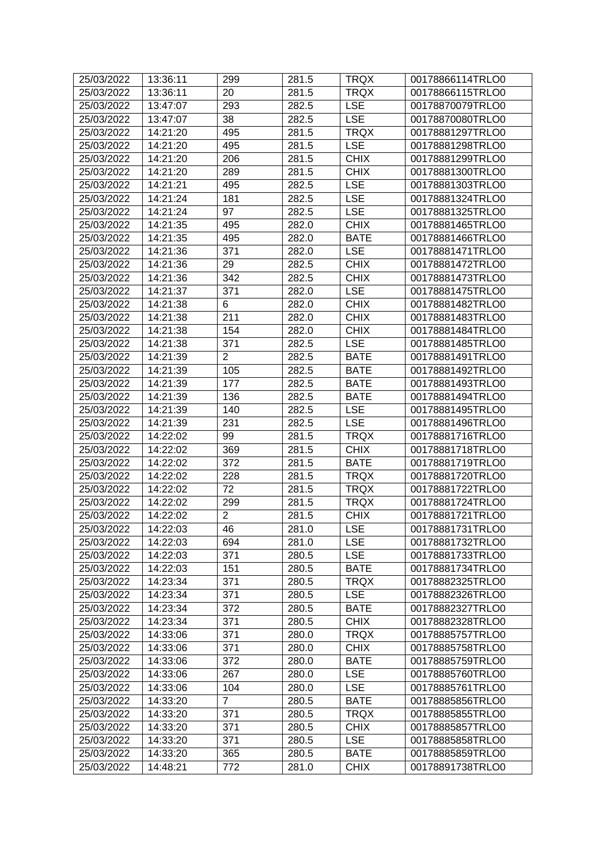| 25/03/2022 | 13:36:11 | 299              | 281.5 | <b>TRQX</b> | 00178866114TRLO0 |
|------------|----------|------------------|-------|-------------|------------------|
| 25/03/2022 | 13:36:11 | 20               | 281.5 | <b>TRQX</b> | 00178866115TRLO0 |
| 25/03/2022 | 13:47:07 | 293              | 282.5 | <b>LSE</b>  | 00178870079TRLO0 |
| 25/03/2022 | 13:47:07 | 38               | 282.5 | <b>LSE</b>  | 00178870080TRLO0 |
| 25/03/2022 | 14:21:20 | 495              | 281.5 | <b>TRQX</b> | 00178881297TRLO0 |
| 25/03/2022 | 14:21:20 | 495              | 281.5 | <b>LSE</b>  | 00178881298TRLO0 |
| 25/03/2022 | 14:21:20 | 206              | 281.5 | <b>CHIX</b> | 00178881299TRLO0 |
| 25/03/2022 | 14:21:20 | 289              | 281.5 | <b>CHIX</b> | 00178881300TRLO0 |
| 25/03/2022 | 14:21:21 | 495              | 282.5 | <b>LSE</b>  | 00178881303TRLO0 |
| 25/03/2022 | 14:21:24 | 181              | 282.5 | <b>LSE</b>  | 00178881324TRLO0 |
| 25/03/2022 | 14:21:24 | 97               | 282.5 | <b>LSE</b>  | 00178881325TRLO0 |
| 25/03/2022 | 14:21:35 | 495              | 282.0 | <b>CHIX</b> | 00178881465TRLO0 |
| 25/03/2022 | 14:21:35 | 495              | 282.0 | <b>BATE</b> | 00178881466TRLO0 |
| 25/03/2022 | 14:21:36 | 371              | 282.0 | <b>LSE</b>  | 00178881471TRLO0 |
| 25/03/2022 | 14:21:36 | 29               | 282.5 | <b>CHIX</b> | 00178881472TRLO0 |
| 25/03/2022 | 14:21:36 | $\overline{3}42$ | 282.5 | <b>CHIX</b> | 00178881473TRLO0 |
| 25/03/2022 | 14:21:37 | 371              | 282.0 | <b>LSE</b>  | 00178881475TRLO0 |
| 25/03/2022 | 14:21:38 | 6                | 282.0 | <b>CHIX</b> | 00178881482TRLO0 |
| 25/03/2022 | 14:21:38 | 211              | 282.0 | <b>CHIX</b> | 00178881483TRLO0 |
| 25/03/2022 | 14:21:38 | 154              | 282.0 | <b>CHIX</b> | 00178881484TRLO0 |
| 25/03/2022 | 14:21:38 | 371              | 282.5 | <b>LSE</b>  | 00178881485TRLO0 |
| 25/03/2022 | 14:21:39 | $\overline{2}$   | 282.5 | <b>BATE</b> | 00178881491TRLO0 |
| 25/03/2022 | 14:21:39 | 105              | 282.5 | <b>BATE</b> | 00178881492TRLO0 |
| 25/03/2022 | 14:21:39 | 177              | 282.5 | <b>BATE</b> | 00178881493TRLO0 |
| 25/03/2022 | 14:21:39 | 136              | 282.5 | <b>BATE</b> | 00178881494TRLO0 |
| 25/03/2022 | 14:21:39 | 140              | 282.5 | <b>LSE</b>  | 00178881495TRLO0 |
| 25/03/2022 | 14:21:39 | 231              | 282.5 | <b>LSE</b>  | 00178881496TRLO0 |
| 25/03/2022 | 14:22:02 | 99               | 281.5 | <b>TRQX</b> | 00178881716TRLO0 |
| 25/03/2022 | 14:22:02 | 369              | 281.5 | <b>CHIX</b> | 00178881718TRLO0 |
| 25/03/2022 | 14:22:02 | 372              | 281.5 | <b>BATE</b> | 00178881719TRLO0 |
| 25/03/2022 | 14:22:02 | 228              | 281.5 | <b>TRQX</b> | 00178881720TRLO0 |
| 25/03/2022 | 14:22:02 | 72               | 281.5 | <b>TRQX</b> | 00178881722TRLO0 |
| 25/03/2022 | 14:22:02 | 299              | 281.5 | <b>TRQX</b> | 00178881724TRLO0 |
| 25/03/2022 | 14:22:02 | $\overline{2}$   | 281.5 | <b>CHIX</b> | 00178881721TRLO0 |
| 25/03/2022 | 14:22:03 | 46               | 281.0 | <b>LSE</b>  | 00178881731TRLO0 |
| 25/03/2022 | 14:22:03 | 694              | 281.0 | <b>LSE</b>  | 00178881732TRLO0 |
| 25/03/2022 | 14:22:03 | 371              | 280.5 | LSE         | 00178881733TRLO0 |
| 25/03/2022 | 14:22:03 | 151              | 280.5 | <b>BATE</b> | 00178881734TRLO0 |
| 25/03/2022 | 14:23:34 | 371              | 280.5 | <b>TRQX</b> | 00178882325TRLO0 |
| 25/03/2022 | 14:23:34 | 371              | 280.5 | <b>LSE</b>  | 00178882326TRLO0 |
| 25/03/2022 | 14:23:34 | 372              | 280.5 | <b>BATE</b> | 00178882327TRLO0 |
| 25/03/2022 | 14:23:34 | 371              | 280.5 | <b>CHIX</b> | 00178882328TRLO0 |
| 25/03/2022 | 14:33:06 | 371              | 280.0 | <b>TRQX</b> | 00178885757TRLO0 |
| 25/03/2022 | 14:33:06 | 371              | 280.0 | <b>CHIX</b> | 00178885758TRLO0 |
| 25/03/2022 | 14:33:06 | 372              | 280.0 | <b>BATE</b> | 00178885759TRLO0 |
| 25/03/2022 | 14:33:06 | 267              | 280.0 | <b>LSE</b>  | 00178885760TRLO0 |
| 25/03/2022 | 14:33:06 | 104              | 280.0 | <b>LSE</b>  | 00178885761TRLO0 |
| 25/03/2022 | 14:33:20 | 7                | 280.5 | <b>BATE</b> | 00178885856TRLO0 |
| 25/03/2022 | 14:33:20 | 371              | 280.5 | <b>TRQX</b> | 00178885855TRLO0 |
| 25/03/2022 | 14:33:20 | 371              | 280.5 | <b>CHIX</b> | 00178885857TRLO0 |
| 25/03/2022 | 14:33:20 | 371              | 280.5 | <b>LSE</b>  | 00178885858TRLO0 |
| 25/03/2022 | 14:33:20 | 365              | 280.5 | <b>BATE</b> | 00178885859TRLO0 |
| 25/03/2022 | 14:48:21 | 772              | 281.0 | <b>CHIX</b> | 00178891738TRLO0 |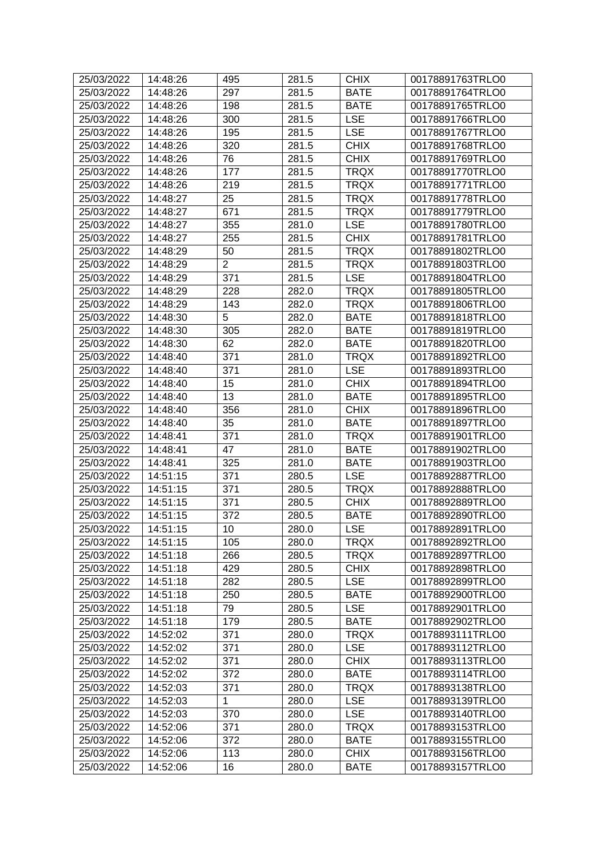| 25/03/2022 | 14:48:26 | 495             | 281.5 | <b>CHIX</b> | 00178891763TRLO0 |
|------------|----------|-----------------|-------|-------------|------------------|
| 25/03/2022 | 14:48:26 | 297             | 281.5 | <b>BATE</b> | 00178891764TRLO0 |
| 25/03/2022 | 14:48:26 | 198             | 281.5 | <b>BATE</b> | 00178891765TRLO0 |
| 25/03/2022 | 14:48:26 | 300             | 281.5 | <b>LSE</b>  | 00178891766TRLO0 |
| 25/03/2022 | 14:48:26 | 195             | 281.5 | <b>LSE</b>  | 00178891767TRLO0 |
| 25/03/2022 | 14:48:26 | 320             | 281.5 | <b>CHIX</b> | 00178891768TRLO0 |
| 25/03/2022 | 14:48:26 | 76              | 281.5 | <b>CHIX</b> | 00178891769TRLO0 |
| 25/03/2022 | 14:48:26 | 177             | 281.5 | <b>TRQX</b> | 00178891770TRLO0 |
| 25/03/2022 | 14:48:26 | 219             | 281.5 | <b>TRQX</b> | 00178891771TRLO0 |
| 25/03/2022 | 14:48:27 | 25              | 281.5 | <b>TRQX</b> | 00178891778TRLO0 |
| 25/03/2022 | 14:48:27 | 671             | 281.5 | <b>TRQX</b> | 00178891779TRLO0 |
| 25/03/2022 | 14:48:27 | 355             | 281.0 | <b>LSE</b>  | 00178891780TRLO0 |
| 25/03/2022 | 14:48:27 | 255             | 281.5 | <b>CHIX</b> | 00178891781TRLO0 |
| 25/03/2022 | 14:48:29 | 50              | 281.5 | <b>TRQX</b> | 00178891802TRLO0 |
| 25/03/2022 | 14:48:29 | $\overline{2}$  | 281.5 | <b>TRQX</b> | 00178891803TRLO0 |
| 25/03/2022 | 14:48:29 | 371             | 281.5 | <b>LSE</b>  | 00178891804TRLO0 |
| 25/03/2022 | 14:48:29 | 228             | 282.0 | <b>TRQX</b> | 00178891805TRLO0 |
| 25/03/2022 | 14:48:29 | 143             | 282.0 | <b>TRQX</b> | 00178891806TRLO0 |
| 25/03/2022 | 14:48:30 | 5               | 282.0 | <b>BATE</b> | 00178891818TRLO0 |
| 25/03/2022 | 14:48:30 | 305             | 282.0 | <b>BATE</b> | 00178891819TRLO0 |
| 25/03/2022 | 14:48:30 | 62              | 282.0 | <b>BATE</b> | 00178891820TRLO0 |
| 25/03/2022 | 14:48:40 | 371             | 281.0 | <b>TRQX</b> | 00178891892TRLO0 |
| 25/03/2022 | 14:48:40 | 371             | 281.0 | <b>LSE</b>  | 00178891893TRLO0 |
| 25/03/2022 | 14:48:40 | 15              | 281.0 | <b>CHIX</b> | 00178891894TRLO0 |
| 25/03/2022 | 14:48:40 | 13              | 281.0 | <b>BATE</b> | 00178891895TRLO0 |
| 25/03/2022 | 14:48:40 | 356             | 281.0 | <b>CHIX</b> | 00178891896TRLO0 |
| 25/03/2022 | 14:48:40 | 35              | 281.0 | <b>BATE</b> | 00178891897TRLO0 |
| 25/03/2022 | 14:48:41 | 371             | 281.0 | <b>TRQX</b> | 00178891901TRLO0 |
| 25/03/2022 | 14:48:41 | 47              | 281.0 | <b>BATE</b> | 00178891902TRLO0 |
| 25/03/2022 | 14:48:41 | 325             | 281.0 | <b>BATE</b> | 00178891903TRLO0 |
| 25/03/2022 | 14:51:15 | 371             | 280.5 | <b>LSE</b>  | 00178892887TRLO0 |
| 25/03/2022 | 14:51:15 | 371             | 280.5 | <b>TRQX</b> | 00178892888TRLO0 |
| 25/03/2022 | 14:51:15 | 371             | 280.5 | <b>CHIX</b> | 00178892889TRLO0 |
| 25/03/2022 | 14:51:15 | 372             | 280.5 | <b>BATE</b> | 00178892890TRLO0 |
| 25/03/2022 | 14:51:15 | 10 <sup>°</sup> | 280.0 | <b>LSE</b>  | 00178892891TRLO0 |
| 25/03/2022 | 14:51:15 | 105             | 280.0 | <b>TRQX</b> | 00178892892TRLO0 |
| 25/03/2022 | 14:51:18 | 266             | 280.5 | <b>TRQX</b> | 00178892897TRLO0 |
| 25/03/2022 | 14:51:18 | 429             | 280.5 | <b>CHIX</b> | 00178892898TRLO0 |
| 25/03/2022 | 14:51:18 | 282             | 280.5 | <b>LSE</b>  | 00178892899TRLO0 |
| 25/03/2022 | 14:51:18 | 250             | 280.5 | <b>BATE</b> | 00178892900TRLO0 |
|            |          |                 | 280.5 |             |                  |
| 25/03/2022 | 14:51:18 | 79              |       | <b>LSE</b>  | 00178892901TRLO0 |
| 25/03/2022 | 14:51:18 | 179             | 280.5 | <b>BATE</b> | 00178892902TRLO0 |
| 25/03/2022 | 14:52:02 | 371             | 280.0 | <b>TRQX</b> | 00178893111TRLO0 |
| 25/03/2022 | 14:52:02 | 371             | 280.0 | <b>LSE</b>  | 00178893112TRLO0 |
| 25/03/2022 | 14:52:02 | 371             | 280.0 | <b>CHIX</b> | 00178893113TRLO0 |
| 25/03/2022 | 14:52:02 | 372             | 280.0 | <b>BATE</b> | 00178893114TRLO0 |
| 25/03/2022 | 14:52:03 | 371             | 280.0 | <b>TRQX</b> | 00178893138TRLO0 |
| 25/03/2022 | 14:52:03 | 1               | 280.0 | LSE         | 00178893139TRLO0 |
| 25/03/2022 | 14:52:03 | 370             | 280.0 | <b>LSE</b>  | 00178893140TRLO0 |
| 25/03/2022 | 14:52:06 | 371             | 280.0 | <b>TRQX</b> | 00178893153TRLO0 |
| 25/03/2022 | 14:52:06 | 372             | 280.0 | <b>BATE</b> | 00178893155TRLO0 |
| 25/03/2022 | 14:52:06 | 113             | 280.0 | <b>CHIX</b> | 00178893156TRLO0 |
| 25/03/2022 | 14:52:06 | 16              | 280.0 | <b>BATE</b> | 00178893157TRLO0 |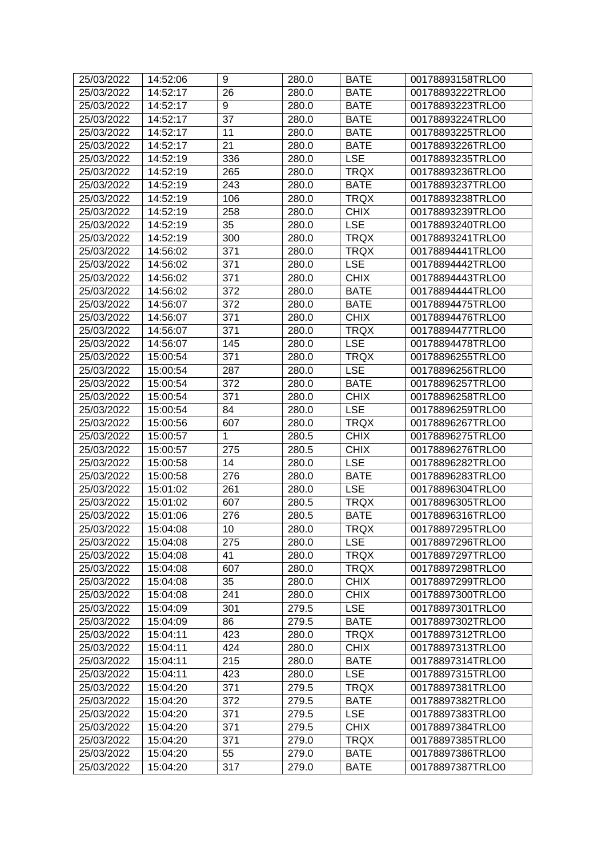| 25/03/2022 | 14:52:06 | 9               | 280.0 | <b>BATE</b> | 00178893158TRLO0 |
|------------|----------|-----------------|-------|-------------|------------------|
| 25/03/2022 | 14:52:17 | 26              | 280.0 | <b>BATE</b> | 00178893222TRLO0 |
| 25/03/2022 | 14:52:17 | 9               | 280.0 | <b>BATE</b> | 00178893223TRLO0 |
| 25/03/2022 | 14:52:17 | 37              | 280.0 | <b>BATE</b> | 00178893224TRLO0 |
| 25/03/2022 | 14:52:17 | 11              | 280.0 | <b>BATE</b> | 00178893225TRLO0 |
| 25/03/2022 | 14:52:17 | 21              | 280.0 | <b>BATE</b> | 00178893226TRLO0 |
| 25/03/2022 | 14:52:19 | 336             | 280.0 | <b>LSE</b>  | 00178893235TRLO0 |
| 25/03/2022 | 14:52:19 | 265             | 280.0 | <b>TRQX</b> | 00178893236TRLO0 |
| 25/03/2022 | 14:52:19 | 243             | 280.0 | <b>BATE</b> | 00178893237TRLO0 |
| 25/03/2022 | 14:52:19 | 106             | 280.0 | <b>TRQX</b> | 00178893238TRLO0 |
| 25/03/2022 | 14:52:19 | 258             | 280.0 | <b>CHIX</b> | 00178893239TRLO0 |
| 25/03/2022 | 14:52:19 | 35              | 280.0 | <b>LSE</b>  | 00178893240TRLO0 |
| 25/03/2022 | 14:52:19 | 300             | 280.0 | <b>TRQX</b> | 00178893241TRLO0 |
| 25/03/2022 | 14:56:02 | 371             | 280.0 | <b>TRQX</b> | 00178894441TRLO0 |
| 25/03/2022 | 14:56:02 | 371             | 280.0 | <b>LSE</b>  | 00178894442TRLO0 |
| 25/03/2022 | 14:56:02 | 371             | 280.0 | <b>CHIX</b> | 00178894443TRLO0 |
| 25/03/2022 | 14:56:02 | 372             | 280.0 | <b>BATE</b> | 00178894444TRLO0 |
| 25/03/2022 | 14:56:07 | 372             | 280.0 | <b>BATE</b> | 00178894475TRLO0 |
| 25/03/2022 | 14:56:07 | 371             | 280.0 | <b>CHIX</b> | 00178894476TRLO0 |
| 25/03/2022 | 14:56:07 | 371             | 280.0 | <b>TRQX</b> | 00178894477TRLO0 |
| 25/03/2022 | 14:56:07 | 145             | 280.0 | <b>LSE</b>  | 00178894478TRLO0 |
| 25/03/2022 | 15:00:54 | 371             | 280.0 | <b>TRQX</b> | 00178896255TRLO0 |
| 25/03/2022 | 15:00:54 | 287             | 280.0 | <b>LSE</b>  | 00178896256TRLO0 |
| 25/03/2022 | 15:00:54 | 372             | 280.0 | <b>BATE</b> | 00178896257TRLO0 |
| 25/03/2022 | 15:00:54 | 371             | 280.0 | <b>CHIX</b> | 00178896258TRLO0 |
| 25/03/2022 | 15:00:54 | 84              | 280.0 | <b>LSE</b>  | 00178896259TRLO0 |
| 25/03/2022 | 15:00:56 | 607             | 280.0 | <b>TRQX</b> | 00178896267TRLO0 |
| 25/03/2022 | 15:00:57 | 1               | 280.5 | <b>CHIX</b> | 00178896275TRLO0 |
| 25/03/2022 | 15:00:57 | 275             | 280.5 | <b>CHIX</b> | 00178896276TRLO0 |
| 25/03/2022 | 15:00:58 | 14              | 280.0 | <b>LSE</b>  | 00178896282TRLO0 |
| 25/03/2022 | 15:00:58 | 276             | 280.0 | <b>BATE</b> | 00178896283TRLO0 |
| 25/03/2022 | 15:01:02 | 261             | 280.0 | <b>LSE</b>  | 00178896304TRLO0 |
| 25/03/2022 | 15:01:02 | 607             | 280.5 | <b>TRQX</b> | 00178896305TRLO0 |
| 25/03/2022 | 15:01:06 | 276             | 280.5 | <b>BATE</b> | 00178896316TRLO0 |
| 25/03/2022 | 15:04:08 | 10 <sub>1</sub> | 280.0 | <b>TRQX</b> | 00178897295TRLO0 |
| 25/03/2022 | 15:04:08 | 275             | 280.0 | <b>LSE</b>  | 00178897296TRLO0 |
| 25/03/2022 | 15:04:08 | 41              | 280.0 | <b>TRQX</b> | 00178897297TRLO0 |
| 25/03/2022 | 15:04:08 | 607             | 280.0 | <b>TRQX</b> | 00178897298TRLO0 |
| 25/03/2022 | 15:04:08 | 35              | 280.0 | <b>CHIX</b> | 00178897299TRLO0 |
| 25/03/2022 | 15:04:08 | 241             | 280.0 | <b>CHIX</b> | 00178897300TRLO0 |
| 25/03/2022 | 15:04:09 | 301             | 279.5 | <b>LSE</b>  | 00178897301TRLO0 |
| 25/03/2022 | 15:04:09 | 86              | 279.5 | <b>BATE</b> | 00178897302TRLO0 |
| 25/03/2022 | 15:04:11 | 423             | 280.0 | <b>TRQX</b> | 00178897312TRLO0 |
| 25/03/2022 | 15:04:11 | 424             | 280.0 | <b>CHIX</b> | 00178897313TRLO0 |
| 25/03/2022 | 15:04:11 | 215             | 280.0 | <b>BATE</b> | 00178897314TRLO0 |
| 25/03/2022 | 15:04:11 | 423             | 280.0 | <b>LSE</b>  | 00178897315TRLO0 |
| 25/03/2022 | 15:04:20 | 371             | 279.5 | <b>TRQX</b> | 00178897381TRLO0 |
| 25/03/2022 | 15:04:20 | 372             | 279.5 | <b>BATE</b> | 00178897382TRLO0 |
| 25/03/2022 | 15:04:20 | 371             | 279.5 | <b>LSE</b>  | 00178897383TRLO0 |
| 25/03/2022 | 15:04:20 | 371             | 279.5 | <b>CHIX</b> | 00178897384TRLO0 |
| 25/03/2022 | 15:04:20 | 371             | 279.0 | <b>TRQX</b> | 00178897385TRLO0 |
| 25/03/2022 | 15:04:20 | 55              | 279.0 | <b>BATE</b> | 00178897386TRLO0 |
| 25/03/2022 | 15:04:20 | 317             | 279.0 | <b>BATE</b> | 00178897387TRLO0 |
|            |          |                 |       |             |                  |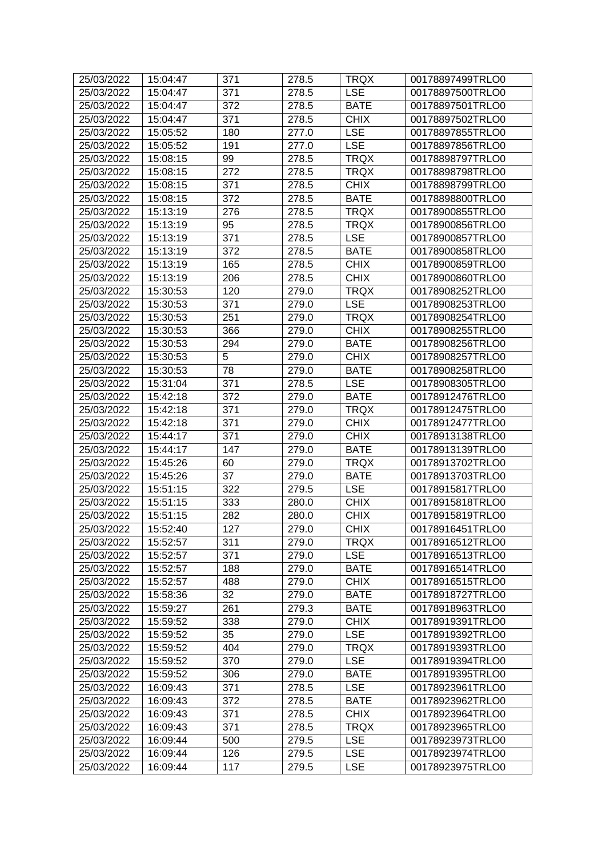| 25/03/2022 | 15:04:47 | 371 | 278.5 | <b>TRQX</b> | 00178897499TRLO0 |
|------------|----------|-----|-------|-------------|------------------|
| 25/03/2022 | 15:04:47 | 371 | 278.5 | <b>LSE</b>  | 00178897500TRLO0 |
| 25/03/2022 | 15:04:47 | 372 | 278.5 | <b>BATE</b> | 00178897501TRLO0 |
| 25/03/2022 | 15:04:47 | 371 | 278.5 | <b>CHIX</b> | 00178897502TRLO0 |
| 25/03/2022 | 15:05:52 | 180 | 277.0 | <b>LSE</b>  | 00178897855TRLO0 |
| 25/03/2022 | 15:05:52 | 191 | 277.0 | <b>LSE</b>  | 00178897856TRLO0 |
| 25/03/2022 | 15:08:15 | 99  | 278.5 | <b>TRQX</b> | 00178898797TRLO0 |
| 25/03/2022 | 15:08:15 | 272 | 278.5 | <b>TRQX</b> | 00178898798TRLO0 |
| 25/03/2022 | 15:08:15 | 371 | 278.5 | <b>CHIX</b> | 00178898799TRLO0 |
| 25/03/2022 | 15:08:15 | 372 | 278.5 | <b>BATE</b> | 00178898800TRLO0 |
| 25/03/2022 | 15:13:19 | 276 | 278.5 | <b>TRQX</b> | 00178900855TRLO0 |
| 25/03/2022 | 15:13:19 | 95  | 278.5 | <b>TRQX</b> | 00178900856TRLO0 |
| 25/03/2022 | 15:13:19 | 371 | 278.5 | <b>LSE</b>  | 00178900857TRLO0 |
| 25/03/2022 | 15:13:19 | 372 | 278.5 | <b>BATE</b> | 00178900858TRLO0 |
| 25/03/2022 | 15:13:19 | 165 | 278.5 | <b>CHIX</b> | 00178900859TRLO0 |
| 25/03/2022 | 15:13:19 | 206 | 278.5 | <b>CHIX</b> | 00178900860TRLO0 |
| 25/03/2022 | 15:30:53 | 120 | 279.0 | <b>TRQX</b> | 00178908252TRLO0 |
| 25/03/2022 | 15:30:53 | 371 | 279.0 | <b>LSE</b>  | 00178908253TRLO0 |
| 25/03/2022 | 15:30:53 | 251 | 279.0 | <b>TRQX</b> | 00178908254TRLO0 |
| 25/03/2022 | 15:30:53 | 366 | 279.0 | <b>CHIX</b> | 00178908255TRLO0 |
| 25/03/2022 | 15:30:53 | 294 | 279.0 | <b>BATE</b> | 00178908256TRLO0 |
| 25/03/2022 | 15:30:53 | 5   | 279.0 | <b>CHIX</b> | 00178908257TRLO0 |
| 25/03/2022 | 15:30:53 | 78  | 279.0 | <b>BATE</b> | 00178908258TRLO0 |
| 25/03/2022 | 15:31:04 | 371 | 278.5 | <b>LSE</b>  | 00178908305TRLO0 |
| 25/03/2022 | 15:42:18 | 372 | 279.0 | <b>BATE</b> | 00178912476TRLO0 |
| 25/03/2022 | 15:42:18 | 371 | 279.0 | <b>TRQX</b> | 00178912475TRLO0 |
| 25/03/2022 | 15:42:18 | 371 | 279.0 | <b>CHIX</b> | 00178912477TRLO0 |
| 25/03/2022 | 15:44:17 | 371 | 279.0 | <b>CHIX</b> | 00178913138TRLO0 |
| 25/03/2022 | 15:44:17 | 147 | 279.0 | <b>BATE</b> | 00178913139TRLO0 |
| 25/03/2022 | 15:45:26 | 60  | 279.0 | <b>TRQX</b> | 00178913702TRLO0 |
| 25/03/2022 | 15:45:26 | 37  | 279.0 | <b>BATE</b> | 00178913703TRLO0 |
| 25/03/2022 | 15:51:15 | 322 | 279.5 | <b>LSE</b>  | 00178915817TRLO0 |
| 25/03/2022 | 15:51:15 | 333 | 280.0 | <b>CHIX</b> | 00178915818TRLO0 |
| 25/03/2022 | 15:51:15 | 282 | 280.0 | <b>CHIX</b> | 00178915819TRLO0 |
| 25/03/2022 | 15:52:40 | 127 | 279.0 | <b>CHIX</b> | 00178916451TRLO0 |
| 25/03/2022 | 15:52:57 | 311 | 279.0 | <b>TRQX</b> | 00178916512TRLO0 |
| 25/03/2022 | 15:52:57 | 371 | 279.0 | <b>LSE</b>  | 00178916513TRLO0 |
| 25/03/2022 | 15:52:57 | 188 | 279.0 | <b>BATE</b> | 00178916514TRLO0 |
| 25/03/2022 | 15:52:57 | 488 | 279.0 | <b>CHIX</b> | 00178916515TRLO0 |
| 25/03/2022 | 15:58:36 | 32  | 279.0 | <b>BATE</b> | 00178918727TRLO0 |
| 25/03/2022 | 15:59:27 | 261 | 279.3 | <b>BATE</b> | 00178918963TRLO0 |
| 25/03/2022 | 15:59:52 | 338 | 279.0 | <b>CHIX</b> | 00178919391TRLO0 |
| 25/03/2022 | 15:59:52 | 35  | 279.0 | <b>LSE</b>  | 00178919392TRLO0 |
| 25/03/2022 | 15:59:52 | 404 | 279.0 | <b>TRQX</b> | 00178919393TRLO0 |
| 25/03/2022 | 15:59:52 | 370 | 279.0 | <b>LSE</b>  | 00178919394TRLO0 |
| 25/03/2022 | 15:59:52 | 306 | 279.0 | <b>BATE</b> | 00178919395TRLO0 |
| 25/03/2022 | 16:09:43 | 371 | 278.5 | <b>LSE</b>  | 00178923961TRLO0 |
| 25/03/2022 | 16:09:43 | 372 | 278.5 | <b>BATE</b> | 00178923962TRLO0 |
| 25/03/2022 | 16:09:43 | 371 | 278.5 | <b>CHIX</b> | 00178923964TRLO0 |
| 25/03/2022 | 16:09:43 | 371 | 278.5 | <b>TRQX</b> | 00178923965TRLO0 |
| 25/03/2022 | 16:09:44 | 500 | 279.5 | <b>LSE</b>  | 00178923973TRLO0 |
| 25/03/2022 | 16:09:44 | 126 | 279.5 | <b>LSE</b>  | 00178923974TRLO0 |
| 25/03/2022 | 16:09:44 | 117 | 279.5 | <b>LSE</b>  | 00178923975TRLO0 |
|            |          |     |       |             |                  |